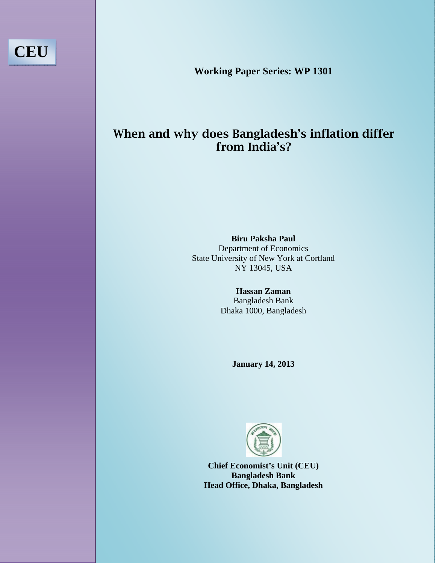**Working Paper Series: WP 1301** 

**CEU** 

# When and why does Bangladesh's inflation differ from India's?

**State University of New York at Cortland Biru Paksha Paul**  Department of Economics NY 13045, USA

> **Hassan Zaman**  Bangladesh Bank Dhaka 1000, Bangladesh

> > **January 14, 2013**



**Chief Economist's Unit (CEU) Bangladesh Bank Head Office, Dhaka, Bangladesh**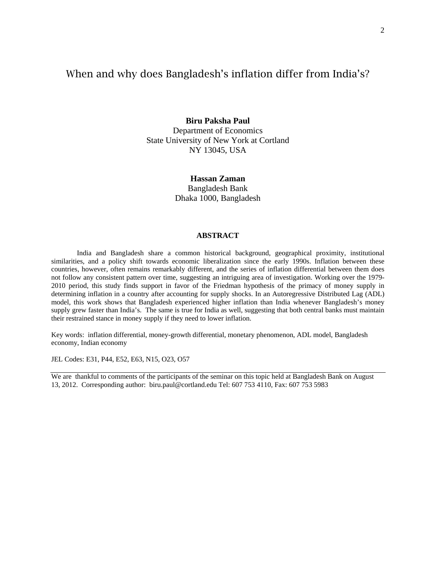# When and why does Bangladesh's inflation differ from India's?

**Biru Paksha Paul**  Department of Economics State University of New York at Cortland NY 13045, USA

> **Hassan Zaman**  Bangladesh Bank Dhaka 1000, Bangladesh

#### **ABSTRACT**

India and Bangladesh share a common historical background, geographical proximity, institutional similarities, and a policy shift towards economic liberalization since the early 1990s. Inflation between these countries, however, often remains remarkably different, and the series of inflation differential between them does not follow any consistent pattern over time, suggesting an intriguing area of investigation. Working over the 1979- 2010 period, this study finds support in favor of the Friedman hypothesis of the primacy of money supply in determining inflation in a country after accounting for supply shocks. In an Autoregressive Distributed Lag (ADL) model, this work shows that Bangladesh experienced higher inflation than India whenever Bangladesh's money supply grew faster than India's. The same is true for India as well, suggesting that both central banks must maintain their restrained stance in money supply if they need to lower inflation.

Key words: inflation differential, money-growth differential, monetary phenomenon, ADL model, Bangladesh economy, Indian economy

JEL Codes: E31, P44, E52, E63, N15, O23, O57

We are thankful to comments of the participants of the seminar on this topic held at Bangladesh Bank on August 13, 2012. Corresponding author: biru.paul@cortland.edu Tel: 607 753 4110, Fax: 607 753 5983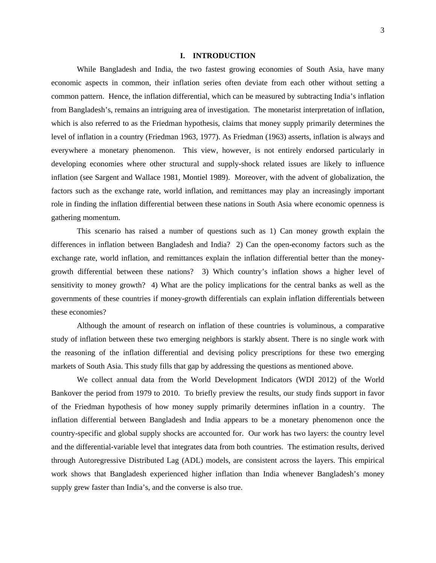#### **I. INTRODUCTION**

While Bangladesh and India, the two fastest growing economies of South Asia, have many economic aspects in common, their inflation series often deviate from each other without setting a common pattern. Hence, the inflation differential, which can be measured by subtracting India's inflation from Bangladesh's, remains an intriguing area of investigation. The monetarist interpretation of inflation, which is also referred to as the Friedman hypothesis, claims that money supply primarily determines the level of inflation in a country (Friedman 1963, 1977). As Friedman (1963) asserts, inflation is always and everywhere a monetary phenomenon. This view, however, is not entirely endorsed particularly in developing economies where other structural and supply-shock related issues are likely to influence inflation (see Sargent and Wallace 1981, Montiel 1989). Moreover, with the advent of globalization, the factors such as the exchange rate, world inflation, and remittances may play an increasingly important role in finding the inflation differential between these nations in South Asia where economic openness is gathering momentum.

This scenario has raised a number of questions such as 1) Can money growth explain the differences in inflation between Bangladesh and India? 2) Can the open-economy factors such as the exchange rate, world inflation, and remittances explain the inflation differential better than the moneygrowth differential between these nations? 3) Which country's inflation shows a higher level of sensitivity to money growth? 4) What are the policy implications for the central banks as well as the governments of these countries if money-growth differentials can explain inflation differentials between these economies?

Although the amount of research on inflation of these countries is voluminous, a comparative study of inflation between these two emerging neighbors is starkly absent. There is no single work with the reasoning of the inflation differential and devising policy prescriptions for these two emerging markets of South Asia. This study fills that gap by addressing the questions as mentioned above.

We collect annual data from the World Development Indicators (WDI 2012) of the World Bankover the period from 1979 to 2010. To briefly preview the results, our study finds support in favor of the Friedman hypothesis of how money supply primarily determines inflation in a country. The inflation differential between Bangladesh and India appears to be a monetary phenomenon once the country-specific and global supply shocks are accounted for. Our work has two layers: the country level and the differential-variable level that integrates data from both countries. The estimation results, derived through Autoregressive Distributed Lag (ADL) models, are consistent across the layers. This empirical work shows that Bangladesh experienced higher inflation than India whenever Bangladesh's money supply grew faster than India's, and the converse is also true.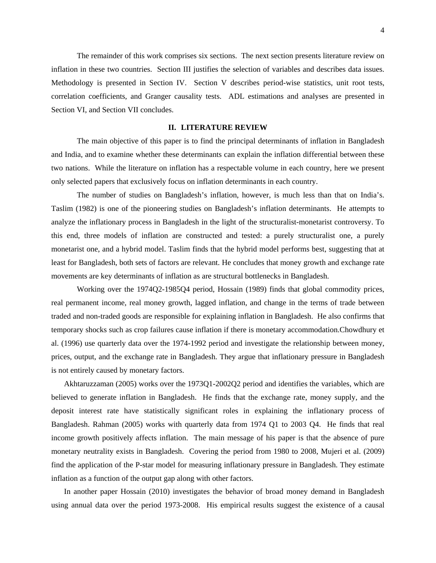The remainder of this work comprises six sections. The next section presents literature review on inflation in these two countries. Section III justifies the selection of variables and describes data issues. Methodology is presented in Section IV. Section V describes period-wise statistics, unit root tests, correlation coefficients, and Granger causality tests. ADL estimations and analyses are presented in Section VI, and Section VII concludes.

### **II. LITERATURE REVIEW**

The main objective of this paper is to find the principal determinants of inflation in Bangladesh and India, and to examine whether these determinants can explain the inflation differential between these two nations. While the literature on inflation has a respectable volume in each country, here we present only selected papers that exclusively focus on inflation determinants in each country.

The number of studies on Bangladesh's inflation, however, is much less than that on India's. Taslim (1982) is one of the pioneering studies on Bangladesh's inflation determinants. He attempts to analyze the inflationary process in Bangladesh in the light of the structuralist-monetarist controversy. To this end, three models of inflation are constructed and tested: a purely structuralist one, a purely monetarist one, and a hybrid model. Taslim finds that the hybrid model performs best, suggesting that at least for Bangladesh, both sets of factors are relevant. He concludes that money growth and exchange rate movements are key determinants of inflation as are structural bottlenecks in Bangladesh.

Working over the 1974Q2-1985Q4 period, Hossain (1989) finds that global commodity prices, real permanent income, real money growth, lagged inflation, and change in the terms of trade between traded and non-traded goods are responsible for explaining inflation in Bangladesh. He also confirms that temporary shocks such as crop failures cause inflation if there is monetary accommodation.Chowdhury et al. (1996) use quarterly data over the 1974-1992 period and investigate the relationship between money, prices, output, and the exchange rate in Bangladesh. They argue that inflationary pressure in Bangladesh is not entirely caused by monetary factors.

Akhtaruzzaman (2005) works over the 1973Q1-2002Q2 period and identifies the variables, which are believed to generate inflation in Bangladesh. He finds that the exchange rate, money supply, and the deposit interest rate have statistically significant roles in explaining the inflationary process of Bangladesh. Rahman (2005) works with quarterly data from 1974 Q1 to 2003 Q4. He finds that real income growth positively affects inflation. The main message of his paper is that the absence of pure monetary neutrality exists in Bangladesh. Covering the period from 1980 to 2008, Mujeri et al. (2009) find the application of the P-star model for measuring inflationary pressure in Bangladesh. They estimate inflation as a function of the output gap along with other factors.

In another paper Hossain (2010) investigates the behavior of broad money demand in Bangladesh using annual data over the period 1973-2008. His empirical results suggest the existence of a causal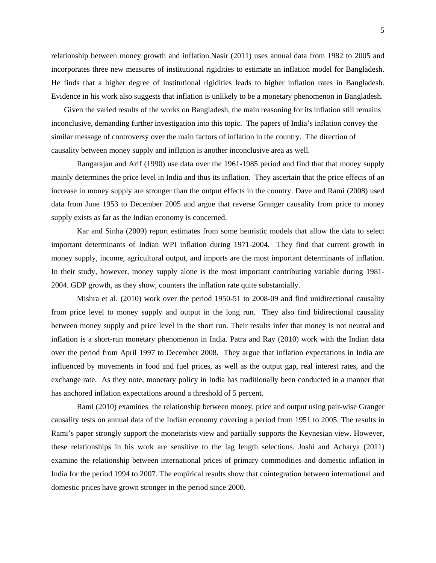relationship between money growth and inflation.Nasir (2011) uses annual data from 1982 to 2005 and incorporates three new measures of institutional rigidities to estimate an inflation model for Bangladesh. He finds that a higher degree of institutional rigidities leads to higher inflation rates in Bangladesh. Evidence in his work also suggests that inflation is unlikely to be a monetary phenomenon in Bangladesh.

Given the varied results of the works on Bangladesh, the main reasoning for its inflation still remains inconclusive, demanding further investigation into this topic. The papers of India's inflation convey the similar message of controversy over the main factors of inflation in the country. The direction of causality between money supply and inflation is another inconclusive area as well.

Rangarajan and Arif (1990) use data over the 1961-1985 period and find that that money supply mainly determines the price level in India and thus its inflation. They ascertain that the price effects of an increase in money supply are stronger than the output effects in the country. Dave and Rami (2008) used data from June 1953 to December 2005 and argue that reverse Granger causality from price to money supply exists as far as the Indian economy is concerned.

Kar and Sinha (2009) report estimates from some heuristic models that allow the data to select important determinants of Indian WPI inflation during 1971-2004. They find that current growth in money supply, income, agricultural output, and imports are the most important determinants of inflation. In their study, however, money supply alone is the most important contributing variable during 1981- 2004. GDP growth, as they show, counters the inflation rate quite substantially.

Mishra et al. (2010) work over the period 1950-51 to 2008-09 and find unidirectional causality from price level to money supply and output in the long run. They also find bidirectional causality between money supply and price level in the short run. Their results infer that money is not neutral and inflation is a short-run monetary phenomenon in India. Patra and Ray (2010) work with the Indian data over the period from April 1997 to December 2008. They argue that inflation expectations in India are influenced by movements in food and fuel prices, as well as the output gap, real interest rates, and the exchange rate. As they note, monetary policy in India has traditionally been conducted in a manner that has anchored inflation expectations around a threshold of 5 percent.

Rami (2010) examines the relationship between money, price and output using pair-wise Granger causality tests on annual data of the Indian economy covering a period from 1951 to 2005. The results in Rami's paper strongly support the monetarists view and partially supports the Keynesian view. However, these relationships in his work are sensitive to the lag length selections. Joshi and Acharya (2011) examine the relationship between international prices of primary commodities and domestic inflation in India for the period 1994 to 2007. The empirical results show that cointegration between international and domestic prices have grown stronger in the period since 2000.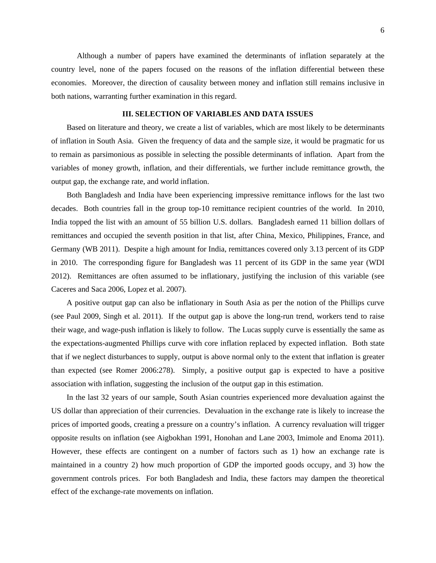Although a number of papers have examined the determinants of inflation separately at the country level, none of the papers focused on the reasons of the inflation differential between these economies. Moreover, the direction of causality between money and inflation still remains inclusive in both nations, warranting further examination in this regard.

### **III. SELECTION OF VARIABLES AND DATA ISSUES**

Based on literature and theory, we create a list of variables, which are most likely to be determinants of inflation in South Asia. Given the frequency of data and the sample size, it would be pragmatic for us to remain as parsimonious as possible in selecting the possible determinants of inflation. Apart from the variables of money growth, inflation, and their differentials, we further include remittance growth, the output gap, the exchange rate, and world inflation.

Both Bangladesh and India have been experiencing impressive remittance inflows for the last two decades. Both countries fall in the group top-10 remittance recipient countries of the world. In 2010, India topped the list with an amount of 55 billion U.S. dollars. Bangladesh earned 11 billion dollars of remittances and occupied the seventh position in that list, after China, Mexico, Philippines, France, and Germany (WB 2011). Despite a high amount for India, remittances covered only 3.13 percent of its GDP in 2010. The corresponding figure for Bangladesh was 11 percent of its GDP in the same year (WDI 2012). Remittances are often assumed to be inflationary, justifying the inclusion of this variable (see Caceres and Saca 2006, Lopez et al. 2007).

A positive output gap can also be inflationary in South Asia as per the notion of the Phillips curve (see Paul 2009, Singh et al. 2011). If the output gap is above the long-run trend, workers tend to raise their wage, and wage-push inflation is likely to follow. The Lucas supply curve is essentially the same as the expectations-augmented Phillips curve with core inflation replaced by expected inflation. Both state that if we neglect disturbances to supply, output is above normal only to the extent that inflation is greater than expected (see Romer 2006:278). Simply, a positive output gap is expected to have a positive association with inflation, suggesting the inclusion of the output gap in this estimation.

In the last 32 years of our sample, South Asian countries experienced more devaluation against the US dollar than appreciation of their currencies. Devaluation in the exchange rate is likely to increase the prices of imported goods, creating a pressure on a country's inflation. A currency revaluation will trigger opposite results on inflation (see Aigbokhan 1991, Honohan and Lane 2003, Imimole and Enoma 2011). However, these effects are contingent on a number of factors such as 1) how an exchange rate is maintained in a country 2) how much proportion of GDP the imported goods occupy, and 3) how the government controls prices. For both Bangladesh and India, these factors may dampen the theoretical effect of the exchange-rate movements on inflation.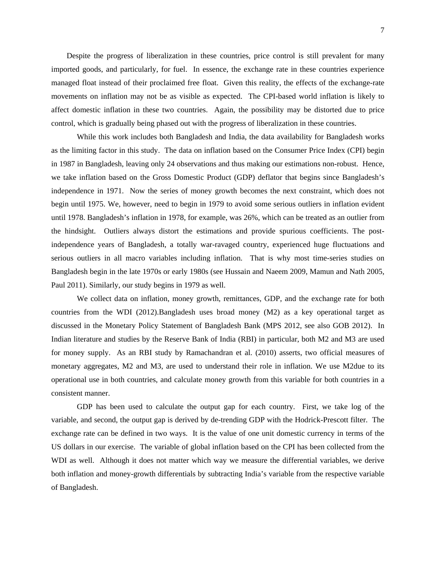Despite the progress of liberalization in these countries, price control is still prevalent for many imported goods, and particularly, for fuel. In essence, the exchange rate in these countries experience managed float instead of their proclaimed free float. Given this reality, the effects of the exchange-rate movements on inflation may not be as visible as expected. The CPI-based world inflation is likely to affect domestic inflation in these two countries. Again, the possibility may be distorted due to price control, which is gradually being phased out with the progress of liberalization in these countries.

While this work includes both Bangladesh and India, the data availability for Bangladesh works as the limiting factor in this study. The data on inflation based on the Consumer Price Index (CPI) begin in 1987 in Bangladesh, leaving only 24 observations and thus making our estimations non-robust. Hence, we take inflation based on the Gross Domestic Product (GDP) deflator that begins since Bangladesh's independence in 1971. Now the series of money growth becomes the next constraint, which does not begin until 1975. We, however, need to begin in 1979 to avoid some serious outliers in inflation evident until 1978. Bangladesh's inflation in 1978, for example, was 26%, which can be treated as an outlier from the hindsight. Outliers always distort the estimations and provide spurious coefficients. The postindependence years of Bangladesh, a totally war-ravaged country, experienced huge fluctuations and serious outliers in all macro variables including inflation. That is why most time-series studies on Bangladesh begin in the late 1970s or early 1980s (see Hussain and Naeem 2009, Mamun and Nath 2005, Paul 2011). Similarly, our study begins in 1979 as well.

We collect data on inflation, money growth, remittances, GDP, and the exchange rate for both countries from the WDI (2012).Bangladesh uses broad money (M2) as a key operational target as discussed in the Monetary Policy Statement of Bangladesh Bank (MPS 2012, see also GOB 2012). In Indian literature and studies by the Reserve Bank of India (RBI) in particular, both M2 and M3 are used for money supply. As an RBI study by Ramachandran et al. (2010) asserts, two official measures of monetary aggregates, M2 and M3, are used to understand their role in inflation. We use M2due to its operational use in both countries, and calculate money growth from this variable for both countries in a consistent manner.

GDP has been used to calculate the output gap for each country. First, we take log of the variable, and second, the output gap is derived by de-trending GDP with the Hodrick-Prescott filter. The exchange rate can be defined in two ways. It is the value of one unit domestic currency in terms of the US dollars in our exercise. The variable of global inflation based on the CPI has been collected from the WDI as well. Although it does not matter which way we measure the differential variables, we derive both inflation and money-growth differentials by subtracting India's variable from the respective variable of Bangladesh.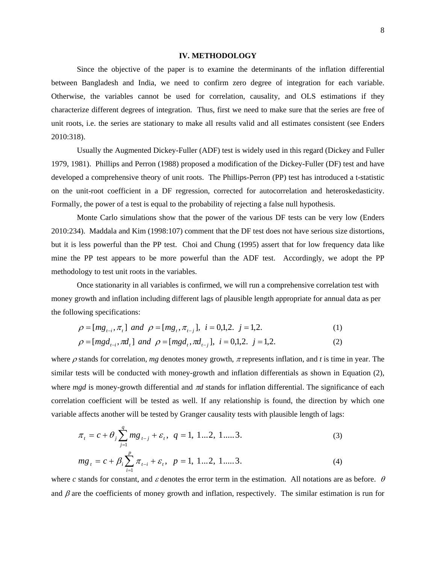#### **IV. METHODOLOGY**

Since the objective of the paper is to examine the determinants of the inflation differential between Bangladesh and India, we need to confirm zero degree of integration for each variable. Otherwise, the variables cannot be used for correlation, causality, and OLS estimations if they characterize different degrees of integration. Thus, first we need to make sure that the series are free of unit roots, i.e. the series are stationary to make all results valid and all estimates consistent (see Enders 2010:318).

Usually the Augmented Dickey-Fuller (ADF) test is widely used in this regard (Dickey and Fuller 1979, 1981). Phillips and Perron (1988) proposed a modification of the Dickey-Fuller (DF) test and have developed a comprehensive theory of unit roots. The Phillips-Perron (PP) test has introduced a t-statistic on the unit-root coefficient in a DF regression, corrected for autocorrelation and heteroskedasticity. Formally, the power of a test is equal to the probability of rejecting a false null hypothesis.

Monte Carlo simulations show that the power of the various DF tests can be very low (Enders 2010:234). Maddala and Kim (1998:107) comment that the DF test does not have serious size distortions, but it is less powerful than the PP test. Choi and Chung (1995) assert that for low frequency data like mine the PP test appears to be more powerful than the ADF test. Accordingly, we adopt the PP methodology to test unit roots in the variables.

Once stationarity in all variables is confirmed, we will run a comprehensive correlation test with money growth and inflation including different lags of plausible length appropriate for annual data as per the following specifications:

$$
\rho = [mg_{t-i}, \pi_t] \text{ and } \rho = [mg_t, \pi_{t-j}], \text{ } i = 0,1,2. \text{ } j = 1,2. \tag{1}
$$

$$
\rho = [mgd_{t-i}, \pi d_t] \text{ and } \rho = [mgd_t, \pi d_{t-j}], \text{ } i = 0, 1, 2. \text{ } j = 1, 2. \tag{2}
$$

where  $\rho$  stands for correlation,  $mg$  denotes money growth,  $\pi$  represents inflation, and  $t$  is time in year. The similar tests will be conducted with money-growth and inflation differentials as shown in Equation (2), where *mgd* is money-growth differential and π*d* stands for inflation differential. The significance of each correlation coefficient will be tested as well. If any relationship is found, the direction by which one variable affects another will be tested by Granger causality tests with plausible length of lags:

$$
\pi_{t} = c + \theta_{j} \sum_{j=1}^{q} m g_{t-j} + \varepsilon_{t}, \quad q = 1, 1...2, 1....3.
$$
\n
$$
mg_{t} = c + \beta_{i} \sum_{i=1}^{p} \pi_{t-i} + \varepsilon_{t}, \quad p = 1, 1...2, 1....3.
$$
\n
$$
(3)
$$
\n
$$
(4)
$$

*i*

where *c* stands for constant, and 
$$
\varepsilon
$$
 denotes the error term in the estimation. All notations are as before.  $\theta$  and  $\beta$  are the coefficients of money growth and inflation, respectively. The similar estimation is run for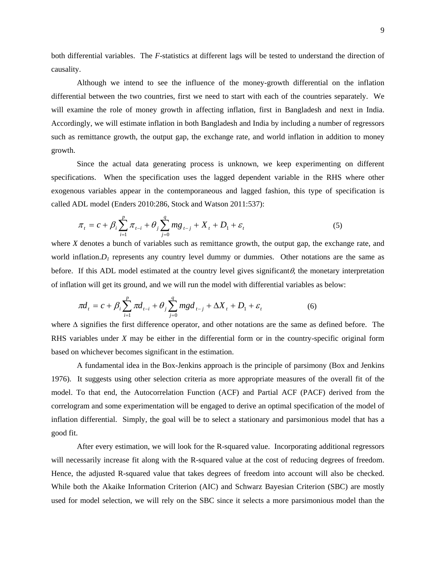both differential variables. The *F-*statistics at different lags will be tested to understand the direction of causality.

Although we intend to see the influence of the money-growth differential on the inflation differential between the two countries, first we need to start with each of the countries separately. We will examine the role of money growth in affecting inflation, first in Bangladesh and next in India. Accordingly, we will estimate inflation in both Bangladesh and India by including a number of regressors such as remittance growth, the output gap, the exchange rate, and world inflation in addition to money growth.

Since the actual data generating process is unknown, we keep experimenting on different specifications. When the specification uses the lagged dependent variable in the RHS where other exogenous variables appear in the contemporaneous and lagged fashion, this type of specification is called ADL model (Enders 2010:286, Stock and Watson 2011:537):

$$
\pi_t = c + \beta_i \sum_{i=1}^p \pi_{t-i} + \theta_j \sum_{j=0}^q m g_{t-j} + X_t + D_1 + \varepsilon_t
$$
\n(5)

where *X* denotes a bunch of variables such as remittance growth, the output gap, the exchange rate, and world inflation. $D_l$  represents any country level dummy or dummies. Other notations are the same as before. If this ADL model estimated at the country level gives significant $\theta$ , the monetary interpretation of inflation will get its ground, and we will run the model with differential variables as below:

$$
\pi d_t = c + \beta_i \sum_{i=1}^p \pi d_{t-i} + \theta_j \sum_{j=0}^q mg d_{t-j} + \Delta X_t + D_1 + \varepsilon_t
$$
 (6)

where ∆ signifies the first difference operator, and other notations are the same as defined before. The RHS variables under *X* may be either in the differential form or in the country-specific original form based on whichever becomes significant in the estimation.

A fundamental idea in the Box-Jenkins approach is the principle of parsimony (Box and Jenkins 1976). It suggests using other selection criteria as more appropriate measures of the overall fit of the model. To that end, the Autocorrelation Function (ACF) and Partial ACF (PACF) derived from the correlogram and some experimentation will be engaged to derive an optimal specification of the model of inflation differential. Simply, the goal will be to select a stationary and parsimonious model that has a good fit.

After every estimation, we will look for the R-squared value. Incorporating additional regressors will necessarily increase fit along with the R-squared value at the cost of reducing degrees of freedom. Hence, the adjusted R-squared value that takes degrees of freedom into account will also be checked. While both the Akaike Information Criterion (AIC) and Schwarz Bayesian Criterion (SBC) are mostly used for model selection, we will rely on the SBC since it selects a more parsimonious model than the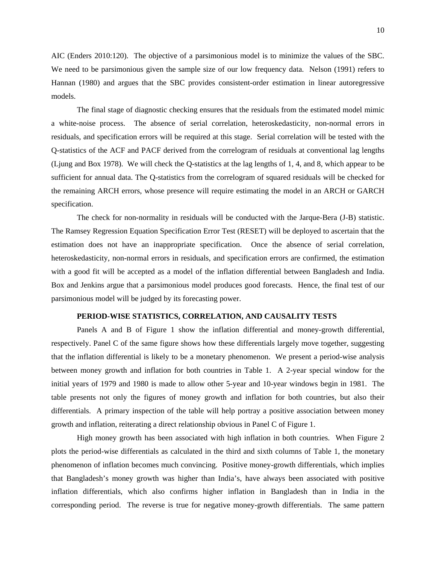AIC (Enders 2010:120). The objective of a parsimonious model is to minimize the values of the SBC. We need to be parsimonious given the sample size of our low frequency data. Nelson (1991) refers to Hannan (1980) and argues that the SBC provides consistent-order estimation in linear autoregressive models.

The final stage of diagnostic checking ensures that the residuals from the estimated model mimic a white-noise process. The absence of serial correlation, heteroskedasticity, non-normal errors in residuals, and specification errors will be required at this stage. Serial correlation will be tested with the Q-statistics of the ACF and PACF derived from the correlogram of residuals at conventional lag lengths (Ljung and Box 1978). We will check the Q-statistics at the lag lengths of 1, 4, and 8, which appear to be sufficient for annual data. The Q-statistics from the correlogram of squared residuals will be checked for the remaining ARCH errors, whose presence will require estimating the model in an ARCH or GARCH specification.

The check for non-normality in residuals will be conducted with the Jarque-Bera (J-B) statistic. The Ramsey Regression Equation Specification Error Test (RESET) will be deployed to ascertain that the estimation does not have an inappropriate specification. Once the absence of serial correlation, heteroskedasticity, non-normal errors in residuals, and specification errors are confirmed, the estimation with a good fit will be accepted as a model of the inflation differential between Bangladesh and India. Box and Jenkins argue that a parsimonious model produces good forecasts. Hence, the final test of our parsimonious model will be judged by its forecasting power.

# **PERIOD-WISE STATISTICS, CORRELATION, AND CAUSALITY TESTS**

Panels A and B of Figure 1 show the inflation differential and money-growth differential, respectively. Panel C of the same figure shows how these differentials largely move together, suggesting that the inflation differential is likely to be a monetary phenomenon. We present a period-wise analysis between money growth and inflation for both countries in Table 1. A 2-year special window for the initial years of 1979 and 1980 is made to allow other 5-year and 10-year windows begin in 1981. The table presents not only the figures of money growth and inflation for both countries, but also their differentials. A primary inspection of the table will help portray a positive association between money growth and inflation, reiterating a direct relationship obvious in Panel C of Figure 1.

High money growth has been associated with high inflation in both countries. When Figure 2 plots the period-wise differentials as calculated in the third and sixth columns of Table 1, the monetary phenomenon of inflation becomes much convincing. Positive money-growth differentials, which implies that Bangladesh's money growth was higher than India's, have always been associated with positive inflation differentials, which also confirms higher inflation in Bangladesh than in India in the corresponding period. The reverse is true for negative money-growth differentials. The same pattern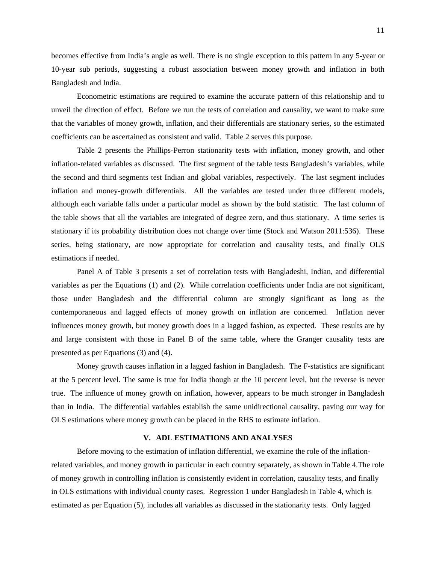becomes effective from India's angle as well. There is no single exception to this pattern in any 5-year or 10-year sub periods, suggesting a robust association between money growth and inflation in both Bangladesh and India.

Econometric estimations are required to examine the accurate pattern of this relationship and to unveil the direction of effect. Before we run the tests of correlation and causality, we want to make sure that the variables of money growth, inflation, and their differentials are stationary series, so the estimated coefficients can be ascertained as consistent and valid. Table 2 serves this purpose.

Table 2 presents the Phillips-Perron stationarity tests with inflation, money growth, and other inflation-related variables as discussed. The first segment of the table tests Bangladesh's variables, while the second and third segments test Indian and global variables, respectively. The last segment includes inflation and money-growth differentials. All the variables are tested under three different models, although each variable falls under a particular model as shown by the bold statistic. The last column of the table shows that all the variables are integrated of degree zero, and thus stationary. A time series is stationary if its probability distribution does not change over time (Stock and Watson 2011:536). These series, being stationary, are now appropriate for correlation and causality tests, and finally OLS estimations if needed.

Panel A of Table 3 presents a set of correlation tests with Bangladeshi, Indian, and differential variables as per the Equations (1) and (2). While correlation coefficients under India are not significant, those under Bangladesh and the differential column are strongly significant as long as the contemporaneous and lagged effects of money growth on inflation are concerned. Inflation never influences money growth, but money growth does in a lagged fashion, as expected. These results are by and large consistent with those in Panel B of the same table, where the Granger causality tests are presented as per Equations (3) and (4).

Money growth causes inflation in a lagged fashion in Bangladesh. The F-statistics are significant at the 5 percent level. The same is true for India though at the 10 percent level, but the reverse is never true. The influence of money growth on inflation, however, appears to be much stronger in Bangladesh than in India. The differential variables establish the same unidirectional causality, paving our way for OLS estimations where money growth can be placed in the RHS to estimate inflation.

# **V. ADL ESTIMATIONS AND ANALYSES**

Before moving to the estimation of inflation differential, we examine the role of the inflationrelated variables, and money growth in particular in each country separately, as shown in Table 4.The role of money growth in controlling inflation is consistently evident in correlation, causality tests, and finally in OLS estimations with individual county cases. Regression 1 under Bangladesh in Table 4, which is estimated as per Equation (5), includes all variables as discussed in the stationarity tests. Only lagged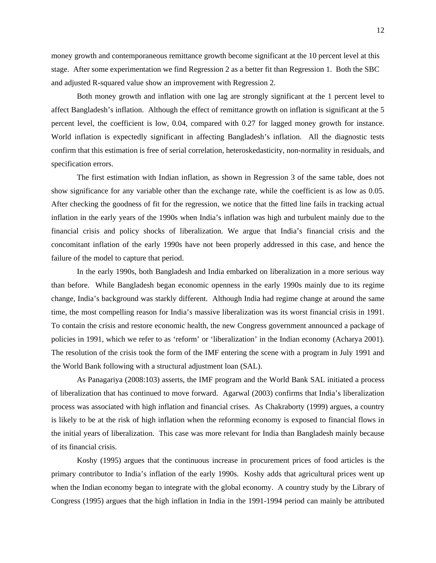money growth and contemporaneous remittance growth become significant at the 10 percent level at this stage. After some experimentation we find Regression 2 as a better fit than Regression 1. Both the SBC and adjusted R-squared value show an improvement with Regression 2.

Both money growth and inflation with one lag are strongly significant at the 1 percent level to affect Bangladesh's inflation. Although the effect of remittance growth on inflation is significant at the 5 percent level, the coefficient is low, 0.04, compared with 0.27 for lagged money growth for instance. World inflation is expectedly significant in affecting Bangladesh's inflation. All the diagnostic tests confirm that this estimation is free of serial correlation, heteroskedasticity, non-normality in residuals, and specification errors.

The first estimation with Indian inflation, as shown in Regression 3 of the same table, does not show significance for any variable other than the exchange rate, while the coefficient is as low as 0.05. After checking the goodness of fit for the regression, we notice that the fitted line fails in tracking actual inflation in the early years of the 1990s when India's inflation was high and turbulent mainly due to the financial crisis and policy shocks of liberalization. We argue that India's financial crisis and the concomitant inflation of the early 1990s have not been properly addressed in this case, and hence the failure of the model to capture that period.

In the early 1990s, both Bangladesh and India embarked on liberalization in a more serious way than before. While Bangladesh began economic openness in the early 1990s mainly due to its regime change, India's background was starkly different. Although India had regime change at around the same time, the most compelling reason for India's massive liberalization was its worst financial crisis in 1991. To contain the crisis and restore economic health, the new Congress government announced a package of policies in 1991, which we refer to as 'reform' or 'liberalization' in the Indian economy (Acharya 2001). The resolution of the crisis took the form of the IMF entering the scene with a program in July 1991 and the World Bank following with a structural adjustment loan (SAL).

As Panagariya (2008:103) asserts, the IMF program and the World Bank SAL initiated a process of liberalization that has continued to move forward. Agarwal (2003) confirms that India's liberalization process was associated with high inflation and financial crises. As Chakraborty (1999) argues, a country is likely to be at the risk of high inflation when the reforming economy is exposed to financial flows in the initial years of liberalization. This case was more relevant for India than Bangladesh mainly because of its financial crisis.

Koshy (1995) argues that the continuous increase in procurement prices of food articles is the primary contributor to India's inflation of the early 1990s. Koshy adds that agricultural prices went up when the Indian economy began to integrate with the global economy. A country study by the Library of Congress (1995) argues that the high inflation in India in the 1991-1994 period can mainly be attributed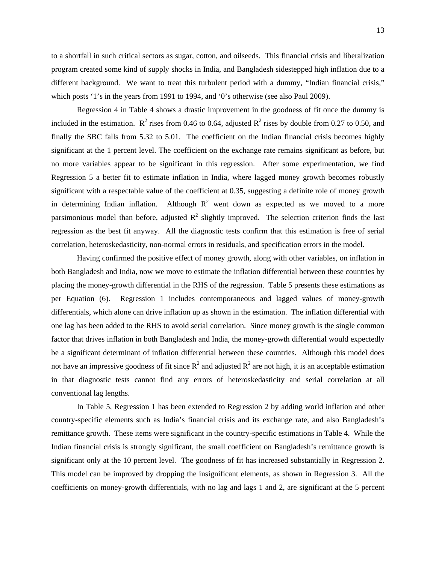to a shortfall in such critical sectors as sugar, cotton, and oilseeds. This financial crisis and liberalization program created some kind of supply shocks in India, and Bangladesh sidestepped high inflation due to a different background. We want to treat this turbulent period with a dummy, "Indian financial crisis," which posts '1's in the years from 1991 to 1994, and '0's otherwise (see also Paul 2009).

Regression 4 in Table 4 shows a drastic improvement in the goodness of fit once the dummy is included in the estimation.  $\mathbb{R}^2$  rises from 0.46 to 0.64, adjusted  $\mathbb{R}^2$  rises by double from 0.27 to 0.50, and finally the SBC falls from 5.32 to 5.01. The coefficient on the Indian financial crisis becomes highly significant at the 1 percent level. The coefficient on the exchange rate remains significant as before, but no more variables appear to be significant in this regression. After some experimentation, we find Regression 5 a better fit to estimate inflation in India, where lagged money growth becomes robustly significant with a respectable value of the coefficient at 0.35, suggesting a definite role of money growth in determining Indian inflation. Although  $R^2$  went down as expected as we moved to a more parsimonious model than before, adjusted  $R^2$  slightly improved. The selection criterion finds the last regression as the best fit anyway. All the diagnostic tests confirm that this estimation is free of serial correlation, heteroskedasticity, non-normal errors in residuals, and specification errors in the model.

Having confirmed the positive effect of money growth, along with other variables, on inflation in both Bangladesh and India, now we move to estimate the inflation differential between these countries by placing the money-growth differential in the RHS of the regression. Table 5 presents these estimations as per Equation (6). Regression 1 includes contemporaneous and lagged values of money-growth differentials, which alone can drive inflation up as shown in the estimation. The inflation differential with one lag has been added to the RHS to avoid serial correlation. Since money growth is the single common factor that drives inflation in both Bangladesh and India, the money-growth differential would expectedly be a significant determinant of inflation differential between these countries. Although this model does not have an impressive goodness of fit since  $R^2$  and adjusted  $R^2$  are not high, it is an acceptable estimation in that diagnostic tests cannot find any errors of heteroskedasticity and serial correlation at all conventional lag lengths.

In Table 5, Regression 1 has been extended to Regression 2 by adding world inflation and other country-specific elements such as India's financial crisis and its exchange rate, and also Bangladesh's remittance growth. These items were significant in the country-specific estimations in Table 4. While the Indian financial crisis is strongly significant, the small coefficient on Bangladesh's remittance growth is significant only at the 10 percent level. The goodness of fit has increased substantially in Regression 2. This model can be improved by dropping the insignificant elements, as shown in Regression 3. All the coefficients on money-growth differentials, with no lag and lags 1 and 2, are significant at the 5 percent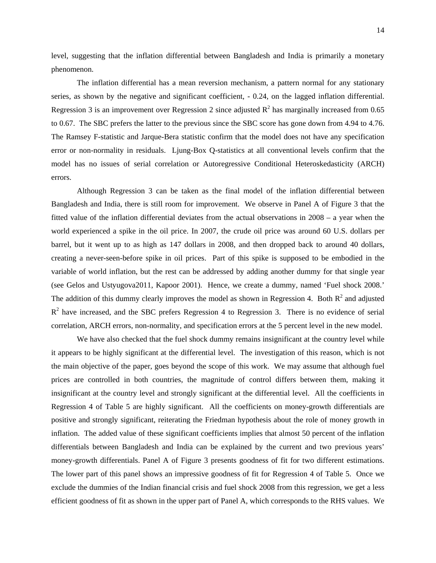level, suggesting that the inflation differential between Bangladesh and India is primarily a monetary phenomenon.

The inflation differential has a mean reversion mechanism, a pattern normal for any stationary series, as shown by the negative and significant coefficient, - 0.24, on the lagged inflation differential. Regression 3 is an improvement over Regression 2 since adjusted  $R^2$  has marginally increased from 0.65 to 0.67. The SBC prefers the latter to the previous since the SBC score has gone down from 4.94 to 4.76. The Ramsey F-statistic and Jarque-Bera statistic confirm that the model does not have any specification error or non-normality in residuals. Ljung-Box Q-statistics at all conventional levels confirm that the model has no issues of serial correlation or Autoregressive Conditional Heteroskedasticity (ARCH) errors.

Although Regression 3 can be taken as the final model of the inflation differential between Bangladesh and India, there is still room for improvement. We observe in Panel A of Figure 3 that the fitted value of the inflation differential deviates from the actual observations in 2008 – a year when the world experienced a spike in the oil price. In 2007, the crude oil price was around 60 U.S. dollars per barrel, but it went up to as high as 147 dollars in 2008, and then dropped back to around 40 dollars, creating a never-seen-before spike in oil prices. Part of this spike is supposed to be embodied in the variable of world inflation, but the rest can be addressed by adding another dummy for that single year (see Gelos and Ustyugova2011, Kapoor 2001). Hence, we create a dummy, named 'Fuel shock 2008.' The addition of this dummy clearly improves the model as shown in Regression 4. Both  $R^2$  and adjusted  $R<sup>2</sup>$  have increased, and the SBC prefers Regression 4 to Regression 3. There is no evidence of serial correlation, ARCH errors, non-normality, and specification errors at the 5 percent level in the new model.

We have also checked that the fuel shock dummy remains insignificant at the country level while it appears to be highly significant at the differential level. The investigation of this reason, which is not the main objective of the paper, goes beyond the scope of this work. We may assume that although fuel prices are controlled in both countries, the magnitude of control differs between them, making it insignificant at the country level and strongly significant at the differential level. All the coefficients in Regression 4 of Table 5 are highly significant. All the coefficients on money-growth differentials are positive and strongly significant, reiterating the Friedman hypothesis about the role of money growth in inflation. The added value of these significant coefficients implies that almost 50 percent of the inflation differentials between Bangladesh and India can be explained by the current and two previous years' money-growth differentials. Panel A of Figure 3 presents goodness of fit for two different estimations. The lower part of this panel shows an impressive goodness of fit for Regression 4 of Table 5. Once we exclude the dummies of the Indian financial crisis and fuel shock 2008 from this regression, we get a less efficient goodness of fit as shown in the upper part of Panel A, which corresponds to the RHS values. We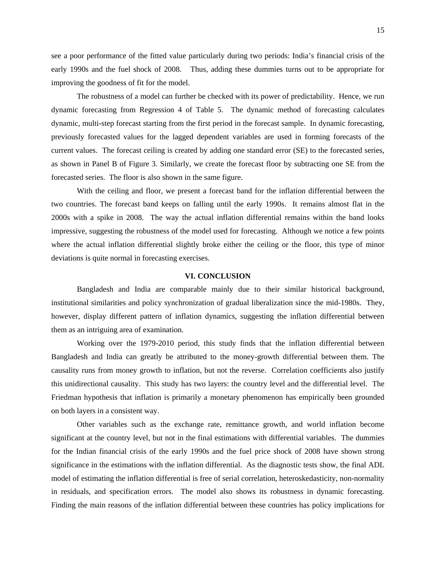see a poor performance of the fitted value particularly during two periods: India's financial crisis of the early 1990s and the fuel shock of 2008. Thus, adding these dummies turns out to be appropriate for improving the goodness of fit for the model.

The robustness of a model can further be checked with its power of predictability. Hence, we run dynamic forecasting from Regression 4 of Table 5. The dynamic method of forecasting calculates dynamic, multi-step forecast starting from the first period in the forecast sample. In dynamic forecasting, previously forecasted values for the lagged dependent variables are used in forming forecasts of the current values. The forecast ceiling is created by adding one standard error (SE) to the forecasted series, as shown in Panel B of Figure 3. Similarly, we create the forecast floor by subtracting one SE from the forecasted series. The floor is also shown in the same figure.

With the ceiling and floor, we present a forecast band for the inflation differential between the two countries. The forecast band keeps on falling until the early 1990s. It remains almost flat in the 2000s with a spike in 2008. The way the actual inflation differential remains within the band looks impressive, suggesting the robustness of the model used for forecasting. Although we notice a few points where the actual inflation differential slightly broke either the ceiling or the floor, this type of minor deviations is quite normal in forecasting exercises.

#### **VI. CONCLUSION**

Bangladesh and India are comparable mainly due to their similar historical background, institutional similarities and policy synchronization of gradual liberalization since the mid-1980s. They, however, display different pattern of inflation dynamics, suggesting the inflation differential between them as an intriguing area of examination.

Working over the 1979-2010 period, this study finds that the inflation differential between Bangladesh and India can greatly be attributed to the money-growth differential between them. The causality runs from money growth to inflation, but not the reverse. Correlation coefficients also justify this unidirectional causality. This study has two layers: the country level and the differential level. The Friedman hypothesis that inflation is primarily a monetary phenomenon has empirically been grounded on both layers in a consistent way.

Other variables such as the exchange rate, remittance growth, and world inflation become significant at the country level, but not in the final estimations with differential variables. The dummies for the Indian financial crisis of the early 1990s and the fuel price shock of 2008 have shown strong significance in the estimations with the inflation differential. As the diagnostic tests show, the final ADL model of estimating the inflation differential is free of serial correlation, heteroskedasticity, non-normality in residuals, and specification errors. The model also shows its robustness in dynamic forecasting. Finding the main reasons of the inflation differential between these countries has policy implications for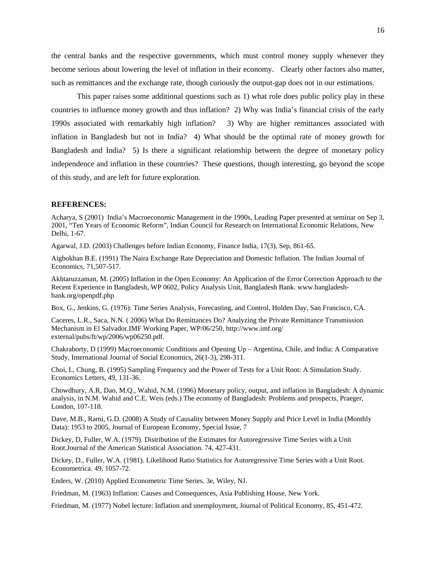the central banks and the respective governments, which must control money supply whenever they become serious about lowering the level of inflation in their economy. Clearly other factors also matter, such as remittances and the exchange rate, though curiously the output-gap does not in our estimations.

This paper raises some additional questions such as 1) what role does public policy play in these countries to influence money growth and thus inflation? 2) Why was India's financial crisis of the early 1990s associated with remarkably high inflation? 3) Why are higher remittances associated with inflation in Bangladesh but not in India? 4) What should be the optimal rate of money growth for Bangladesh and India? 5) Is there a significant relationship between the degree of monetary policy independence and inflation in these countries? These questions, though interesting, go beyond the scope of this study, and are left for future exploration.

#### **REFERENCES:**

Acharya, S (2001) India's Macroeconomic Management in the 1990s, Leading Paper presented at seminar on Sep 3, 2001, "Ten Years of Economic Reform", Indian Council for Research on International Economic Relations, New Delhi, 1-67.

Agarwal, J.D. (2003) Challenges before Indian Economy, Finance India, 17(3), Sep, 861-65.

Aigbokhan B.E. (1991) The Naira Exchange Rate Depreciation and Domestic Inflation. The Indian Journal of Economics, 71,507-517.

Akhtaruzzaman, M. (2005) Inflation in the Open Economy: An Application of the Error Correction Approach to the Recent Experience in Bangladesh, WP 0602, Policy Analysis Unit, Bangladesh Bank. www.bangladeshbank.org/openpdf.php

Box, G., Jenkins, G. (1976): Time Series Analysis, Forecasting, and Control, Holden Day, San Francisco, CA.

Caceres, L.R., Saca, N.N. ( 2006) What Do Remittances Do? Analyzing the Private Remittance Transmission Mechanism in El Salvador.IMF Working Paper, WP/06/250, http://www.imf.org/ external/pubs/ft/wp/2006/wp06250.pdf.

Chakraborty, D (1999) Macroeconomic Conditions and Opening Up – Argentina, Chile, and India: A Comparative Study, International Journal of Social Economics, 26(1-3), 298-311.

Choi, I., Chung, B. (1995) Sampling Frequency and the Power of Tests for a Unit Root: A Simulation Study. Economics Letters, 49, 131-36.

Chowdhury, A.R, Dao, M.Q., Wahid, N.M. (1996) Monetary policy, output, and inflation in Bangladesh: A dynamic analysis, in N.M. Wahid and C.E. Weis (eds.) The economy of Bangladesh: Problems and prospects, Praeger, London, 107-118.

Dave, M.B., Rami, G.D. (2008) A Study of Causality between Money Supply and Price Level in India (Monthly Data): 1953 to 2005, Journal of European Economy, Special Issue, 7

Dickey, D, Fuller, W.A. (1979). Distribution of the Estimates for Autoregressive Time Series with a Unit Root.Journal of the American Statistical Association. 74, 427-431.

Dickey, D., Fuller, W.A. (1981). Likelihood Ratio Statistics for Autoregressive Time Series with a Unit Root. Econometrica. 49, 1057-72.

Enders, W. (2010) Applied Econometric Time Series. 3e, Wiley, NJ.

Friedman, M. (1963) Inflation: Causes and Consequences, Asia Publishing House, New York.

Friedman, M. (1977) Nobel lecture: Inflation and unemployment, Journal of Political Economy, 85, 451-472.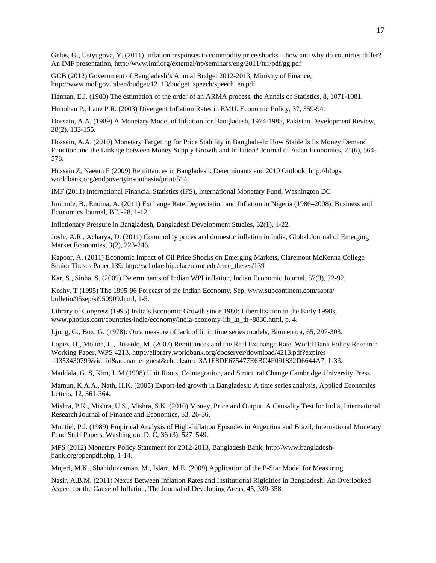Gelos, G., Ustyugova, Y. (2011) Inflation responses to commodity price shocks – how and why do countries differ? An IMF presentation, http://www.imf.org/external/np/seminars/eng/2011/tur/pdf/gg.pdf

GOB (2012) Government of Bangladesh's Annual Budget 2012-2013, Ministry of Finance, http://www.mof.gov.bd/en/budget/12\_13/budget\_speech/speech\_en.pdf

Hannan, E.J. (1980) The estimation of the order of an ARMA process, the Annals of Statistics, 8, 1071-1081.

Honohan P., Lane P.R. (2003) Divergent Inflation Rates in EMU. Economic Policy, 37, 359-94.

Hossain, A.A. (1989) A Monetary Model of Inflation for Bangladesh, 1974-1985, Pakistan Development Review, 28(2), 133-155.

Hossain, A.A. (2010) Monetary Targeting for Price Stability in Bangladesh: How Stable Is Its Money Demand Function and the Linkage between Money Supply Growth and Inflation? Journal of Asian Economics, 21(6), 564- 578.

Hussain Z, Naeem F (2009) Remittances in Bangladesh: Determinants and 2010 Outlook. http://blogs. worldbank.org/endpovertyinsouthasia/print/514

IMF (2011) International Financial Statistics (IFS), International Monetary Fund, Washington DC

Imimole, B., Enoma, A. (2011) Exchange Rate Depreciation and Inflation in Nigeria (1986–2008), Business and Economics Journal, BEJ-28, 1-12.

Inflationary Pressure in Bangladesh, Bangladesh Development Studies, 32(1), 1-22.

Joshi, A.R., Acharya, D. (2011) Commodity prices and domestic inflation in India, Global Journal of Emerging Market Economies, 3(2), 223-246.

Kapoor, A. (2011) Economic Impact of Oil Price Shocks on Emerging Markets, Claremont McKenna College Senior Theses Paper 139, http://scholarship.claremont.edu/cmc\_theses/139

Kar, S., Sinha, S. (2009) Determinants of Indian WPI inflation, Indian Economic Journal, 57(3), 72-92.

Koshy, T (1995) The 1995-96 Forecast of the Indian Economy, Sep, www.subcontinent.com/sapra/ bulletin/95sep/si950909.html, 1-5.

Library of Congress (1995) India's Economic Growth since 1980: Liberalization in the Early 1990s, www.photius.com/countries/india/economy/india-economy-lib\_in\_th~8830.html, p. 4.

Ljung, G., Box, G. (1978): On a measure of lack of fit in time series models, Biometrica, 65, 297-303.

Lopez, H., Molina, L., Bussolo, M. (2007) Remittances and the Real Exchange Rate. World Bank Policy Research Working Paper, WPS 4213, http://elibrary.worldbank.org/docserver/download/4213.pdf?expires =1353430799&id=id&accname=guest&checksum=3A1E8DE675477E6BC4F091832D6644A7, 1-33.

Maddala, G. S, Kim, I. M (1998).Unit Roots, Cointegration, and Structural Change.Cambridge University Press.

Mamun, K.A.A., Nath, H.K. (2005) Export-led growth in Bangladesh: A time series analysis, Applied Economics Letters, 12, 361-364.

Mishra, P.K., Mishra, U.S., Mishra, S.K. (2010) Money, Price and Output: A Causality Test for India, International Research Journal of Finance and Economics, 53, 26-36.

Montiel, P.J. (1989) Empirical Analysis of High-Inflation Episodes in Argentina and Brazil, International Monetary Fund Staff Papers, Washington. D. C, 36 (3), 527–549.

MPS (2012) Monetary Policy Statement for 2012-2013, Bangladesh Bank, http://www.bangladeshbank.org/openpdf.php, 1-14.

Mujeri, M.K., Shahiduzzaman, M., Islam, M.E. (2009) Application of the P-Star Model for Measuring

Nasir, A.B.M. (2011) Nexus Between Inflation Rates and Institutional Rigidities in Bangladesh: An Overlooked Aspect for the Cause of Inflation, The Journal of Developing Areas, 45, 339-358.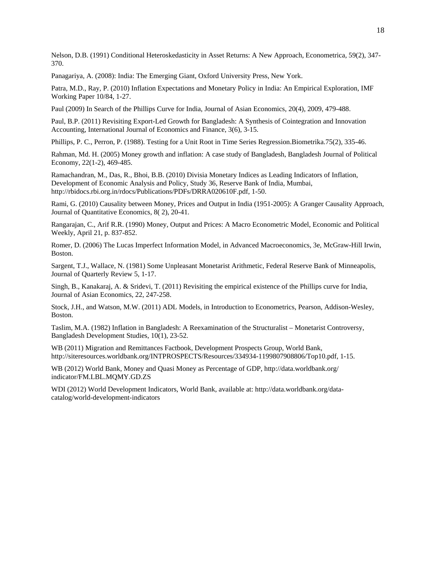Nelson, D.B. (1991) Conditional Heteroskedasticity in Asset Returns: A New Approach, Econometrica, 59(2), 347- 370.

Panagariya, A. (2008): India: The Emerging Giant, Oxford University Press, New York.

Patra, M.D., Ray, P. (2010) Inflation Expectations and Monetary Policy in India: An Empirical Exploration, IMF Working Paper 10/84, 1-27.

Paul (2009) In Search of the Phillips Curve for India, Journal of Asian Economics, 20(4), 2009, 479-488.

Paul, B.P. (2011) Revisiting Export-Led Growth for Bangladesh: A Synthesis of Cointegration and Innovation Accounting, International Journal of Economics and Finance, 3(6), 3-15.

Phillips, P. C., Perron, P. (1988). Testing for a Unit Root in Time Series Regression.Biometrika.75(2), 335-46.

Rahman, Md. H. (2005) Money growth and inflation: A case study of Bangladesh, Bangladesh Journal of Political Economy, 22(1-2), 469-485.

Ramachandran, M., Das, R., Bhoi, B.B. (2010) Divisia Monetary Indices as Leading Indicators of Inflation, Development of Economic Analysis and Policy, Study 36, Reserve Bank of India, Mumbai, http://rbidocs.rbi.org.in/rdocs/Publications/PDFs/DRRA020610F.pdf, 1-50.

Rami, G. (2010) Causality between Money, Prices and Output in India (1951-2005): A Granger Causality Approach, Journal of Quantitative Economics, 8( 2), 20-41.

Rangarajan, C., Arif R.R. (1990) Money, Output and Prices: A Macro Econometric Model, Economic and Political Weekly, April 21, p. 837-852.

Romer, D. (2006) The Lucas Imperfect Information Model, in Advanced Macroeconomics, 3e, McGraw-Hill Irwin, Boston.

Sargent, T.J., Wallace, N. (1981) Some Unpleasant Monetarist Arithmetic, Federal Reserve Bank of Minneapolis, Journal of Quarterly Review 5, 1-17.

Singh, B., Kanakaraj, A. & Sridevi, T. (2011) Revisiting the empirical existence of the Phillips curve for India, Journal of Asian Economics, 22, 247-258.

Stock, J.H., and Watson, M.W. (2011) ADL Models, in Introduction to Econometrics, Pearson, Addison-Wesley, Boston.

Taslim, M.A. (1982) Inflation in Bangladesh: A Reexamination of the Structuralist – Monetarist Controversy, Bangladesh Development Studies, 10(1), 23-52.

WB (2011) Migration and Remittances Factbook, Development Prospects Group, World Bank, http://siteresources.worldbank.org/INTPROSPECTS/Resources/334934-1199807908806/Top10.pdf, 1-15.

WB (2012) World Bank, Money and Quasi Money as Percentage of GDP, http://data.worldbank.org/ indicator/FM.LBL.MQMY.GD.ZS

WDI (2012) World Development Indicators, World Bank, available at: http://data.worldbank.org/datacatalog/world-development-indicators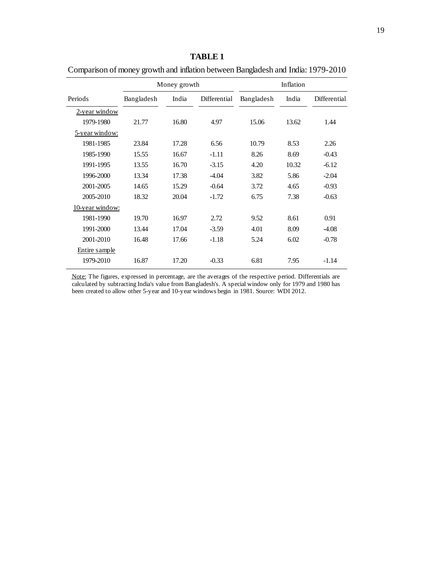# Periods Bangladesh India Differential Bangladesh India Differential 2-year window 1979-1980 21.77 16.80 4.97 15.06 13.62 1.44 5-year window: 1981-1985 23.84 17.28 6.56 10.79 8.53 2.26 1985-1990 15.55 16.67 -1.11 8.26 8.69 -0.43 1991-1995 13.55 16.70 -3.15 4.20 10.32 -6.12 1996-2000 13.34 17.38 -4.04 3.82 5.86 -2.04 2001-2005 14.65 15.29 -0.64 3.72 4.65 -0.93 2005-2010 18.32 20.04 -1.72 6.75 7.38 -0.63 Comparison of money growth and inflation between Bangladesh and India: 1979-2010 Money growth Inflation

10-year window:

Entire sample

**TABLE 1**

Note: The figures, expressed in percentage, are the averages of the respective period. Differentials are calculated by subtracting India's value from Bangladesh's. A special window only for 1979 and 1980 has been created to allow other 5-year and 10-year windows begin in 1981. Source: WDI 2012.

1979-2010 16.87 17.20 -0.33 6.81 7.95 -1.14

1981-1990 19.70 16.97 2.72 9.52 8.61 0.91 1991-2000 13.44 17.04 -3.59 4.01 8.09 -4.08 2001-2010 16.48 17.66 -1.18 5.24 6.02 -0.78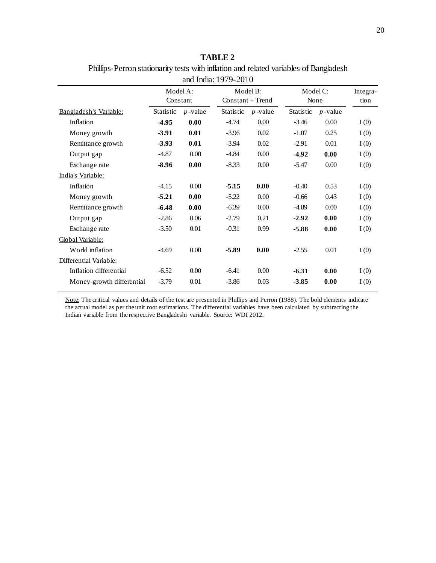| Phillips-Perron stationarity tests with inflation and related variables of Bangladesh |
|---------------------------------------------------------------------------------------|
| and India: 1979-2010                                                                  |

|                           |           | Model A:   |                    | Model B:   |           | Model C:   |      |
|---------------------------|-----------|------------|--------------------|------------|-----------|------------|------|
|                           | Constant  |            | $Constant + Trend$ |            | None      |            | tion |
| Bangladesh's Variable:    | Statistic | $p$ -value | <b>Statistic</b>   | $p$ -value | Statistic | $p$ -value |      |
| Inflation                 | $-4.95$   | 0.00       | $-4.74$            | 0.00       | $-3.46$   | 0.00       | I(0) |
| Money growth              | $-3.91$   | 0.01       | $-3.96$            | 0.02       | $-1.07$   | 0.25       | I(0) |
| Remittance growth         | $-3.93$   | 0.01       | $-3.94$            | 0.02       | $-2.91$   | 0.01       | I(0) |
| Output gap                | $-4.87$   | 0.00       | $-4.84$            | 0.00       | $-4.92$   | 0.00       | I(0) |
| Exchange rate             | $-8.96$   | 0.00       | $-8.33$            | 0.00       | $-5.47$   | 0.00       | I(0) |
| India's Variable:         |           |            |                    |            |           |            |      |
| Inflation                 | $-4.15$   | 0.00       | $-5.15$            | 0.00       | $-0.40$   | 0.53       | I(0) |
| Money growth              | $-5.21$   | 0.00       | $-5.22$            | 0.00       | $-0.66$   | 0.43       | I(0) |
| Remittance growth         | $-6.48$   | 0.00       | $-6.39$            | 0.00       | $-4.89$   | 0.00       | I(0) |
| Output gap                | $-2.86$   | 0.06       | $-2.79$            | 0.21       | $-2.92$   | 0.00       | I(0) |
| Exchange rate             | $-3.50$   | 0.01       | $-0.31$            | 0.99       | $-5.88$   | 0.00       | I(0) |
| Global Variable:          |           |            |                    |            |           |            |      |
| World inflation           | $-4.69$   | 0.00       | $-5.89$            | 0.00       | $-2.55$   | 0.01       | I(0) |
| Differential Variable:    |           |            |                    |            |           |            |      |
| Inflation differential    | $-6.52$   | 0.00       | $-6.41$            | 0.00       | $-6.31$   | 0.00       | I(0) |
| Money-growth differential | $-3.79$   | 0.01       | $-3.86$            | 0.03       | $-3.85$   | 0.00       | I(0) |
|                           |           |            |                    |            |           |            |      |

Note: The critical values and details of the test are presented in Phillips and Perron (1988). The bold elements indicate the actual model as per the unit root estimations. The differential variables have been calculated by subtracting the Indian variable from the respective Bangladeshi variable. Source: WDI 2012.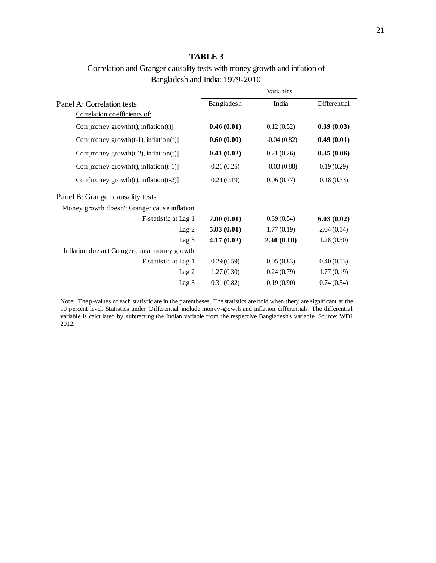| <b>TABLE 3</b>                                                             |
|----------------------------------------------------------------------------|
| Correlation and Granger causality tests with money growth and inflation of |
| Bangladesh and India: 1979-2010                                            |

|                                               | Variables  |               |              |  |
|-----------------------------------------------|------------|---------------|--------------|--|
| Panel A: Correlation tests                    | Bangladesh | India         | Differential |  |
| Correlation coefficients of:                  |            |               |              |  |
| Corr[money growth(t), inflation(t)]           | 0.46(0.01) | 0.12(0.52)    | 0.39(0.03)   |  |
| Corr[money growth $(t-1)$ , inflation $(t)$ ] | 0.60(0.00) | $-0.04(0.82)$ | 0.49(0.01)   |  |
| Corr[money growth $(t-2)$ , inflation $(t)$ ] | 0.41(0.02) | 0.21(0.26)    | 0.35(0.06)   |  |
| Corr[money growth $(t)$ , inflation $(t-1)$ ] | 0.21(0.25) | $-0.03(0.88)$ | 0.19(0.29)   |  |
| Corr[money growth $(t)$ , inflation $(t-2)$ ] | 0.24(0.19) | 0.06(0.77)    | 0.18(0.33)   |  |
| Panel B: Granger causality tests              |            |               |              |  |
| Money growth doesn't Granger cause inflation  |            |               |              |  |
| F-statistic at Lag 1                          | 7.00(0.01) | 0.39(0.54)    | 6.03(0.02)   |  |
| Lag <sub>2</sub>                              | 5.03(0.01) | 1.77(0.19)    | 2.04(0.14)   |  |
| Lag $3$                                       | 4.17(0.02) | 2.30(0.10)    | 1.28(0.30)   |  |
| Inflation doesn't Granger cause money growth  |            |               |              |  |
| F-statistic at Lag 1                          | 0.29(0.59) | 0.05(0.83)    | 0.40(0.53)   |  |
| Lag <sub>2</sub>                              | 1.27(0.30) | 0.24(0.79)    | 1.77(0.19)   |  |
| Lag 3                                         | 0.31(0.82) | 0.19(0.90)    | 0.74(0.54)   |  |

.<br>ach statisti ics under ' Note: The p-values of each statistic are in the parentheses. The statistics are bold when thery are significant at the 10 percent level. Statistics under 'Differential' include money-growth and inflation differentials. The differential variable is calculated by subtracting the Indian variable from the respective Bangladesh's variable. Source: WDI 2012.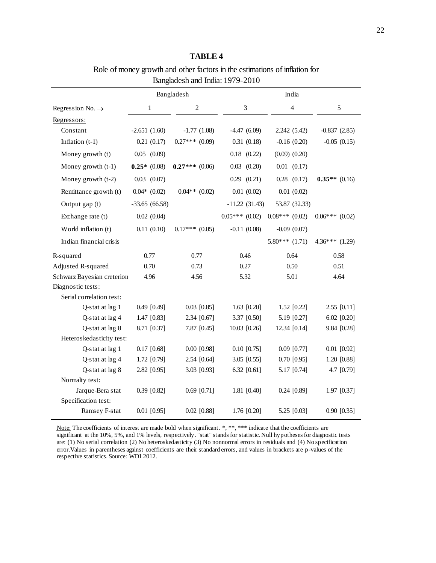Role of money growth and other factors in the estimations of inflation for

|                              | Bangladesh       |                  |                  |                   |                  |
|------------------------------|------------------|------------------|------------------|-------------------|------------------|
| Regression No. $\rightarrow$ | $\mathbf{1}$     | $\overline{2}$   | 3                | $\overline{4}$    | 5                |
| Regressors:                  |                  |                  |                  |                   |                  |
| Constant                     | $-2.651(1.60)$   | $-1.77(1.08)$    | $-4.47(6.09)$    | 2.242 (5.42)      | $-0.837(2.85)$   |
| Inflation $(t-1)$            | 0.21(0.17)       | $0.27***$ (0.09) | 0.31(0.18)       | $-0.16(0.20)$     | $-0.05(0.15)$    |
| Money growth (t)             | $0.05$ $(0.09)$  |                  | $0.18$ $(0.22)$  | $(0.09)$ $(0.20)$ |                  |
| Money growth (t-1)           | $0.25*(0.08)$    | $0.27***$ (0.06) | $0.03$ $(0.20)$  | $0.01$ $(0.17)$   |                  |
| Money growth (t-2)           | $0.03$ $(0.07)$  |                  | $0.29$ $(0.21)$  | $0.28$ $(0.17)$   | $0.35**$ (0.16)  |
| Remittance growth (t)        | $0.04*$ $(0.02)$ | $0.04**$ (0.02)  | 0.01(0.02)       | 0.01(0.02)        |                  |
| Output gap (t)               | $-33.65(66.58)$  |                  | $-11.22(31.43)$  | 53.87 (32.33)     |                  |
| Exchange rate (t)            | 0.02(0.04)       |                  | $0.05***(0.02)$  | $0.08***(0.02)$   | $0.06***$ (0.02) |
| World inflation (t)          | 0.11(0.10)       | $0.17***$ (0.05) | $-0.11(0.08)$    | $-0.09$ $(0.07)$  |                  |
| Indian financial crisis      |                  |                  |                  | $5.80***(1.71)$   | $4.36***$ (1.29) |
| R-squared                    | 0.77             | 0.77             | 0.46             | 0.64              | 0.58             |
| Adjusted R-squared           | 0.70             | 0.73             | 0.27             | 0.50              | 0.51             |
| Schwarz Bayesian creterion   | 4.96             | 4.56             | 5.32             | 5.01              | 4.64             |
| Diagnostic tests:            |                  |                  |                  |                   |                  |
| Serial correlation test:     |                  |                  |                  |                   |                  |
| Q-stat at lag 1              | $0.49$ [0.49]    | $0.03$ [0.85]    | $1.63$ [0.20]    | $1.52$ [0.22]     | $2.55$ [0.11]    |
| Q-stat at lag 4              | 1.47 [0.83]      | 2.34 [0.67]      | 3.37 [0.50]      | 5.19 [0.27]       | $6.02$ $[0.20]$  |
| Q-stat at lag 8              | 8.71 [0.37]      | 7.87 [0.45]      | $10.03$ $[0.26]$ | 12.34 [0.14]      | 9.84 [0.28]      |
| Heteroskedasticity test:     |                  |                  |                  |                   |                  |
| Q-stat at lag 1              | $0.17$ [0.68]    | $0.00$ [0.98]    | $0.10$ [0.75]    | $0.09$ [0.77]     | $0.01$ [0.92]    |
| Q-stat at lag 4              | 1.72 [0.79]      | 2.54 [0.64]      | $3.05$ [0.55]    | $0.70$ [0.95]     | 1.20 [0.88]      |
| Q-stat at lag 8              | 2.82 [0.95]      | 3.03 [0.93]      | 6.32 $[0.61]$    | 5.17 [0.74]       | 4.7 [0.79]       |
| Normalty test:               |                  |                  |                  |                   |                  |
| Jarque-Bera stat             | $0.39$ [0.82]    | $0.69$ [0.71]    | $1.81$ [0.40]    | $0.24$ [0.89]     | 1.97 [0.37]      |
| Specification test:          |                  |                  |                  |                   |                  |
| Ramsey F-stat                | $0.01$ [0.95]    | $0.02$ [0.88]    | 1.76 [0.20]      | 5.25 [0.03]       | $0.90$ [0.35]    |

nt at the 10  $20$  serial control Note: The coefficients of interest are made bold when significant. \*, \*\*, \*\*\* indicate that the coefficients are significant at the 10%, 5%, and 1% levels, respectively. "stat" stands for statistic. Null hypotheses for diagnostic tests are: (1) No serial correlation (2) No heteroskedasticity (3) No nonnormal errors in residuals and (4) No specification error.Values in parentheses against coefficients are their standard errors, and values in brackets are p-values of the respective statistics. Source: WDI 2012.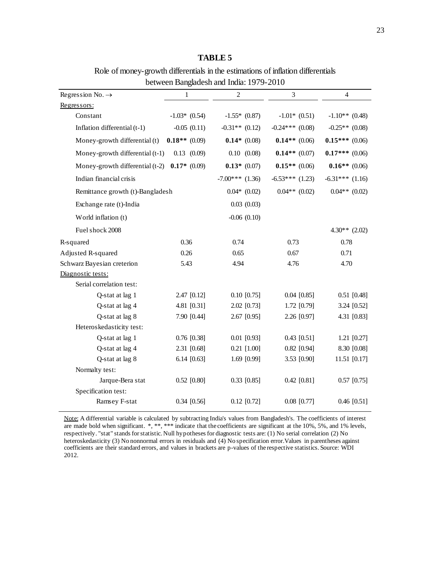# **TABLE 5**

Role of money-growth differentials in the estimations of inflation differentials between Bangladesh and India: 1979-2010

| Regression No. $\rightarrow$     | 1               | $\overline{2}$    | 3                 | 4                 |
|----------------------------------|-----------------|-------------------|-------------------|-------------------|
| Regressors:                      |                 |                   |                   |                   |
| Constant                         | $-1.03*$ (0.54) | $-1.55*$ (0.87)   | $-1.01*$ (0.51)   | $-1.10**$ (0.48)  |
| Inflation differential (t-1)     | $-0.05(0.11)$   | $-0.31**$ (0.12)  | $-0.24***$ (0.08) | $-0.25**$ (0.08)  |
| Money-growth differential (t)    | $0.18**$ (0.09) | $0.14*(0.08)$     | $0.14**$ (0.06)   | $0.15***(0.06)$   |
| Money-growth differential (t-1)  | $0.13$ $(0.09)$ | 0.10(0.08)        | $0.14**$ (0.07)   | $0.17***$ (0.06)  |
| Money-growth differential (t-2)  | $0.17*$ (0.09)  | $0.13*$ (0.07)    | $0.15**$ (0.06)   | $0.16**$ (0.06)   |
| Indian financial crisis          |                 | $-7.00***$ (1.36) | $-6.53***$ (1.23) | $-6.31***$ (1.16) |
| Remittance growth (t)-Bangladesh |                 | $0.04*$ $(0.02)$  | $0.04**$ (0.02)   | $0.04**$ (0.02)   |
| Exchange rate (t)-India          |                 | 0.03(0.03)        |                   |                   |
| World inflation (t)              |                 | $-0.06$ $(0.10)$  |                   |                   |
| Fuel shock 2008                  |                 |                   |                   | $4.30**$ (2.02)   |
| R-squared                        | 0.36            | 0.74              | 0.73              | 0.78              |
| Adjusted R-squared               | 0.26            | 0.65              | 0.67              | 0.71              |
| Schwarz Bayesian creterion       | 5.43            | 4.94              | 4.76              | 4.70              |
| Diagnostic tests:                |                 |                   |                   |                   |
| Serial correlation test:         |                 |                   |                   |                   |
| Q-stat at lag 1                  | 2.47 [0.12]     | $0.10$ [0.75]     | $0.04$ [0.85]     | $0.51$ [0.48]     |
| Q-stat at lag 4                  | 4.81 [0.31]     | 2.02 [0.73]       | 1.72 [0.79]       | 3.24 [0.52]       |
| Q-stat at lag 8                  | 7.90 [0.44]     | $2.67$ [0.95]     | 2.26 [0.97]       | 4.31 [0.83]       |
| Heteroskedasticity test:         |                 |                   |                   |                   |
| Q-stat at lag 1                  | $0.76$ [0.38]   | $0.01$ [0.93]     | $0.43$ [0.51]     | $1.21$ [0.27]     |
| Q-stat at lag 4                  | 2.31 [0.68]     | $0.21$ [1.00]     | $0.82$ [0.94]     | 8.30 [0.08]       |
| Q-stat at lag 8                  | 6.14 $[0.63]$   | 1.69 [0.99]       | 3.53 [0.90]       | 11.51 [0.17]      |
| Normalty test:                   |                 |                   |                   |                   |
| Jarque-Bera stat                 | $0.52$ [0.80]   | $0.33$ [0.85]     | $0.42$ [0.81]     | $0.57$ [0.75]     |
| Specification test:              |                 |                   |                   |                   |
| Ramsey F-stat                    | $0.34$ [0.56]   | $0.12$ [0.72]     | $0.08$ [0.77]     | $0.46$ [0.51]     |

are made bold when significant. \*, \*\*, \*\*\* indicate that the coefficients are significant at the 10%, 5%, and 1% levels, 2005-2010 heteroskedasticity (3) No nonnormal errors in residuals and (4) No specification error.Values in parentheses against Note: A differential variable is calculated by subtracting India's values from Bangladesh's. The coefficients of interest respectively. "stat" stands for statistic. Null hypotheses for diagnostic tests are: (1) No serial correlation (2) No coefficients are their standard errors, and values in brackets are p-values of the respective statistics. Source: WDI 2012.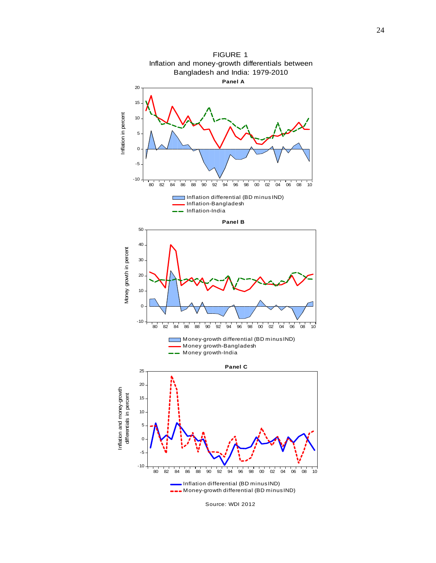

Source: WDI 2012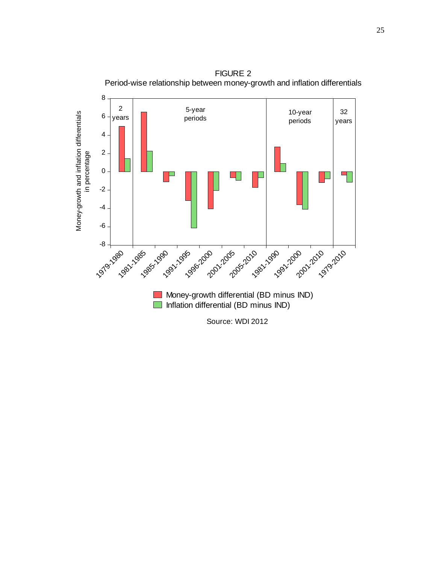

Source: WDI 2012